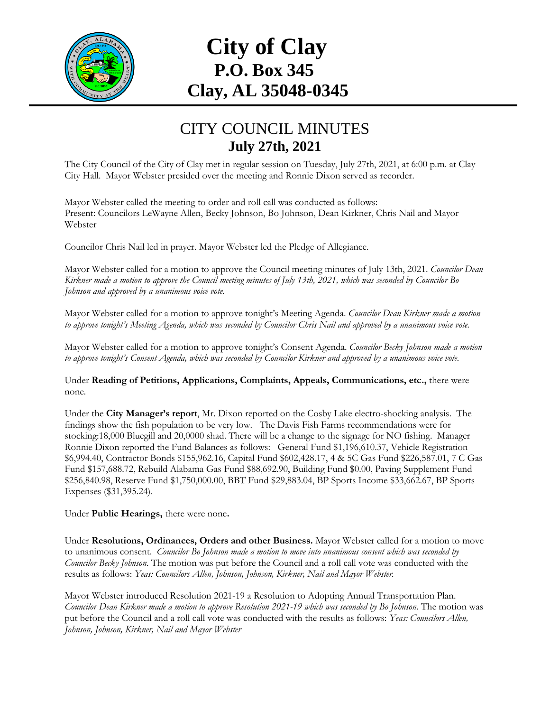

## **City of Clay P.O. Box 345 Clay, AL 35048-0345**

## CITY COUNCIL MINUTES **July 27th, 2021**

The City Council of the City of Clay met in regular session on Tuesday, July 27th, 2021, at 6:00 p.m. at Clay City Hall. Mayor Webster presided over the meeting and Ronnie Dixon served as recorder.

Mayor Webster called the meeting to order and roll call was conducted as follows: Present: Councilors LeWayne Allen, Becky Johnson, Bo Johnson, Dean Kirkner, Chris Nail and Mayor Webster

Councilor Chris Nail led in prayer. Mayor Webster led the Pledge of Allegiance.

Mayor Webster called for a motion to approve the Council meeting minutes of July 13th, 2021. *Councilor Dean Kirkner made a motion to approve the Council meeting minutes of July 13th, 2021, which was seconded by Councilor Bo Johnson and approved by a unanimous voice vote.*

Mayor Webster called for a motion to approve tonight's Meeting Agenda. *Councilor Dean Kirkner made a motion to approve tonight's Meeting Agenda, which was seconded by Councilor Chris Nail and approved by a unanimous voice vote.*

Mayor Webster called for a motion to approve tonight's Consent Agenda. *Councilor Becky Johnson made a motion to approve tonight's Consent Agenda, which was seconded by Councilor Kirkner and approved by a unanimous voice vote.*

Under **Reading of Petitions, Applications, Complaints, Appeals, Communications, etc.,** there were none*.*

Under the **City Manager's report**, Mr. Dixon reported on the Cosby Lake electro-shocking analysis. The findings show the fish population to be very low. The Davis Fish Farms recommendations were for stocking:18,000 Bluegill and 20,0000 shad. There will be a change to the signage for NO fishing. Manager Ronnie Dixon reported the Fund Balances as follows: General Fund \$1,196,610.37, Vehicle Registration \$6,994.40, Contractor Bonds \$155,962.16, Capital Fund \$602,428.17, 4 & 5C Gas Fund \$226,587.01, 7 C Gas Fund \$157,688.72, Rebuild Alabama Gas Fund \$88,692.90, Building Fund \$0.00, Paving Supplement Fund \$256,840.98, Reserve Fund \$1,750,000.00, BBT Fund \$29,883.04, BP Sports Income \$33,662.67, BP Sports Expenses (\$31,395.24).

Under **Public Hearings,** there were none**.**

Under **Resolutions, Ordinances, Orders and other Business.** Mayor Webster called for a motion to move to unanimous consent. *Councilor Bo Johnson made a motion to move into unanimous consent which was seconded by Councilor Becky Johnson*. The motion was put before the Council and a roll call vote was conducted with the results as follows: *Yeas: Councilors Allen, Johnson, Johnson, Kirkner, Nail and Mayor Webster.*

Mayor Webster introduced Resolution 2021-19 a Resolution to Adopting Annual Transportation Plan. *Councilor Dean Kirkner made a motion to approve Resolution 2021-19 which was seconded by Bo Johnson.* The motion was put before the Council and a roll call vote was conducted with the results as follows: *Yeas: Councilors Allen, Johnson, Johnson, Kirkner, Nail and Mayor Webster*